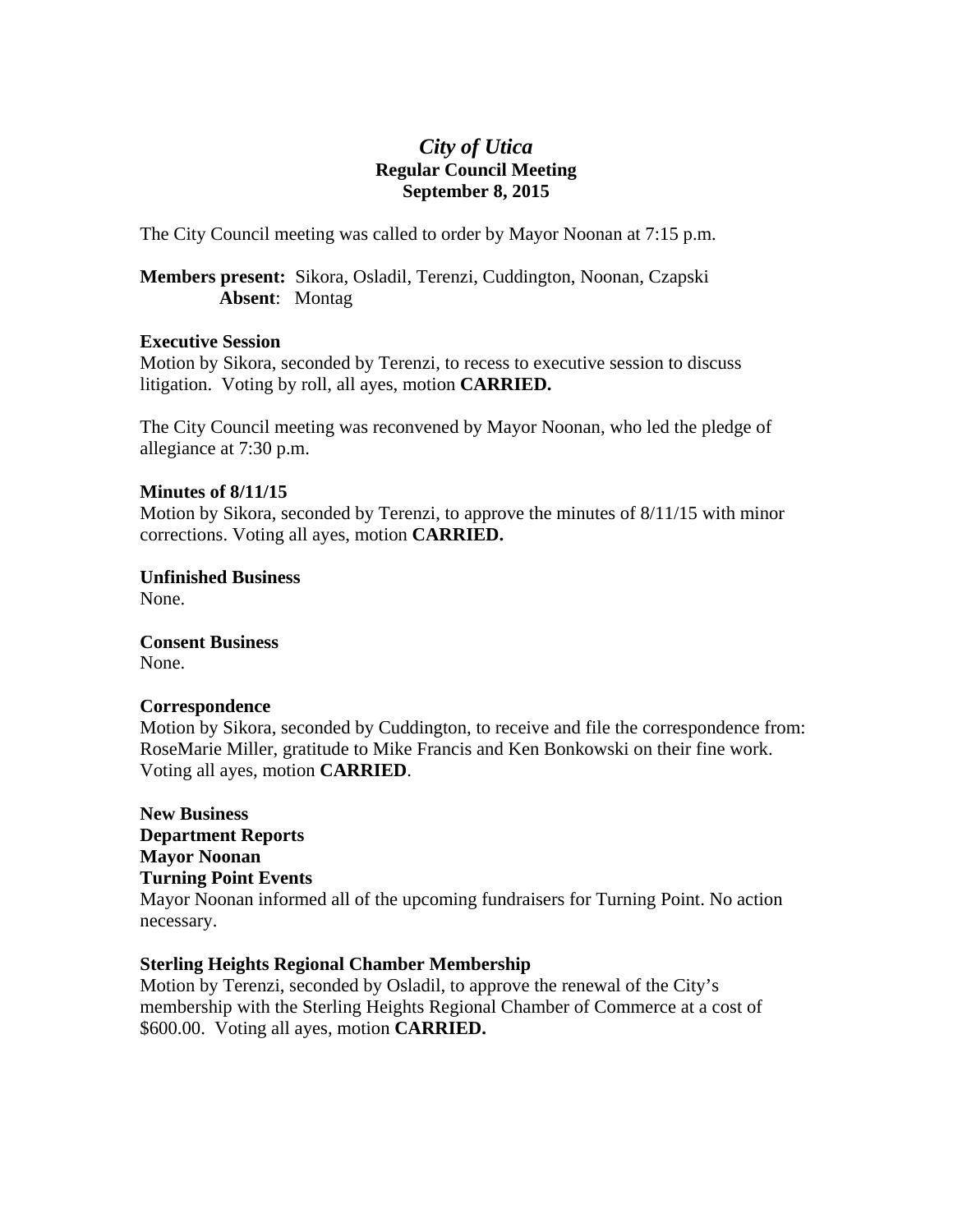# *City of Utica*  **Regular Council Meeting September 8, 2015**

The City Council meeting was called to order by Mayor Noonan at 7:15 p.m.

**Members present:** Sikora, Osladil, Terenzi, Cuddington, Noonan, Czapski **Absent**: Montag

### **Executive Session**

Motion by Sikora, seconded by Terenzi, to recess to executive session to discuss litigation. Voting by roll, all ayes, motion **CARRIED.** 

The City Council meeting was reconvened by Mayor Noonan, who led the pledge of allegiance at 7:30 p.m.

### **Minutes of 8/11/15**

Motion by Sikora, seconded by Terenzi, to approve the minutes of 8/11/15 with minor corrections. Voting all ayes, motion **CARRIED.** 

**Unfinished Business**  None.

**Consent Business**  None.

### **Correspondence**

Motion by Sikora, seconded by Cuddington, to receive and file the correspondence from: RoseMarie Miller, gratitude to Mike Francis and Ken Bonkowski on their fine work. Voting all ayes, motion **CARRIED**.

**New Business Department Reports Mayor Noonan Turning Point Events**  Mayor Noonan informed all of the upcoming fundraisers for Turning Point. No action necessary.

### **Sterling Heights Regional Chamber Membership**

Motion by Terenzi, seconded by Osladil, to approve the renewal of the City's membership with the Sterling Heights Regional Chamber of Commerce at a cost of \$600.00. Voting all ayes, motion **CARRIED.**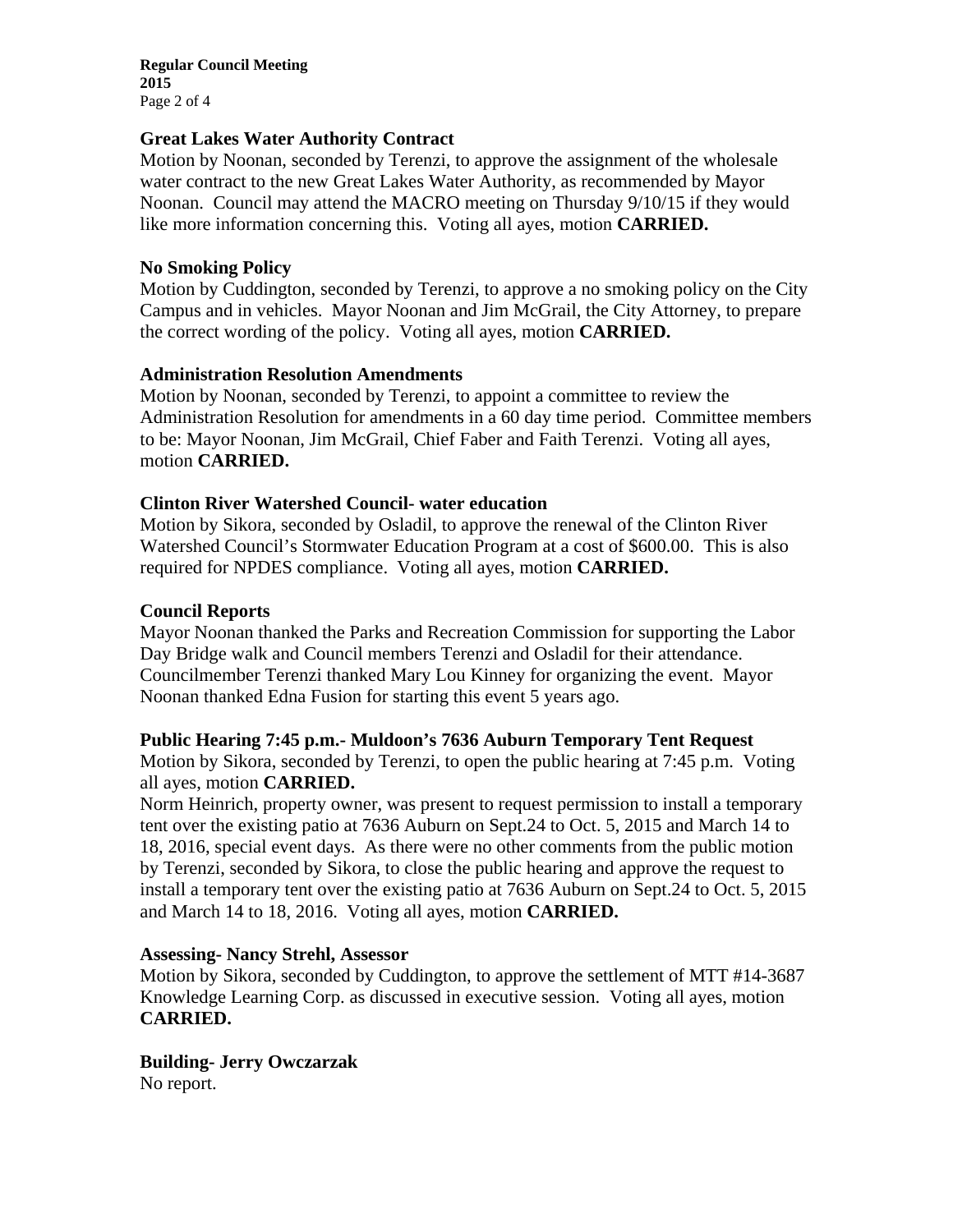**Regular Council Meeting 2015**  Page 2 of 4

### **Great Lakes Water Authority Contract**

Motion by Noonan, seconded by Terenzi, to approve the assignment of the wholesale water contract to the new Great Lakes Water Authority, as recommended by Mayor Noonan. Council may attend the MACRO meeting on Thursday 9/10/15 if they would like more information concerning this. Voting all ayes, motion **CARRIED.** 

### **No Smoking Policy**

Motion by Cuddington, seconded by Terenzi, to approve a no smoking policy on the City Campus and in vehicles. Mayor Noonan and Jim McGrail, the City Attorney, to prepare the correct wording of the policy. Voting all ayes, motion **CARRIED.** 

## **Administration Resolution Amendments**

Motion by Noonan, seconded by Terenzi, to appoint a committee to review the Administration Resolution for amendments in a 60 day time period. Committee members to be: Mayor Noonan, Jim McGrail, Chief Faber and Faith Terenzi. Voting all ayes, motion **CARRIED.** 

## **Clinton River Watershed Council- water education**

Motion by Sikora, seconded by Osladil, to approve the renewal of the Clinton River Watershed Council's Stormwater Education Program at a cost of \$600.00. This is also required for NPDES compliance. Voting all ayes, motion **CARRIED.** 

# **Council Reports**

Mayor Noonan thanked the Parks and Recreation Commission for supporting the Labor Day Bridge walk and Council members Terenzi and Osladil for their attendance. Councilmember Terenzi thanked Mary Lou Kinney for organizing the event. Mayor Noonan thanked Edna Fusion for starting this event 5 years ago.

### **Public Hearing 7:45 p.m.- Muldoon's 7636 Auburn Temporary Tent Request**

Motion by Sikora, seconded by Terenzi, to open the public hearing at 7:45 p.m. Voting all ayes, motion **CARRIED.** 

Norm Heinrich, property owner, was present to request permission to install a temporary tent over the existing patio at 7636 Auburn on Sept.24 to Oct. 5, 2015 and March 14 to 18, 2016, special event days. As there were no other comments from the public motion by Terenzi, seconded by Sikora, to close the public hearing and approve the request to install a temporary tent over the existing patio at 7636 Auburn on Sept.24 to Oct. 5, 2015 and March 14 to 18, 2016. Voting all ayes, motion **CARRIED.** 

# **Assessing- Nancy Strehl, Assessor**

Motion by Sikora, seconded by Cuddington, to approve the settlement of MTT #14-3687 Knowledge Learning Corp. as discussed in executive session. Voting all ayes, motion **CARRIED.** 

**Building- Jerry Owczarzak**  No report.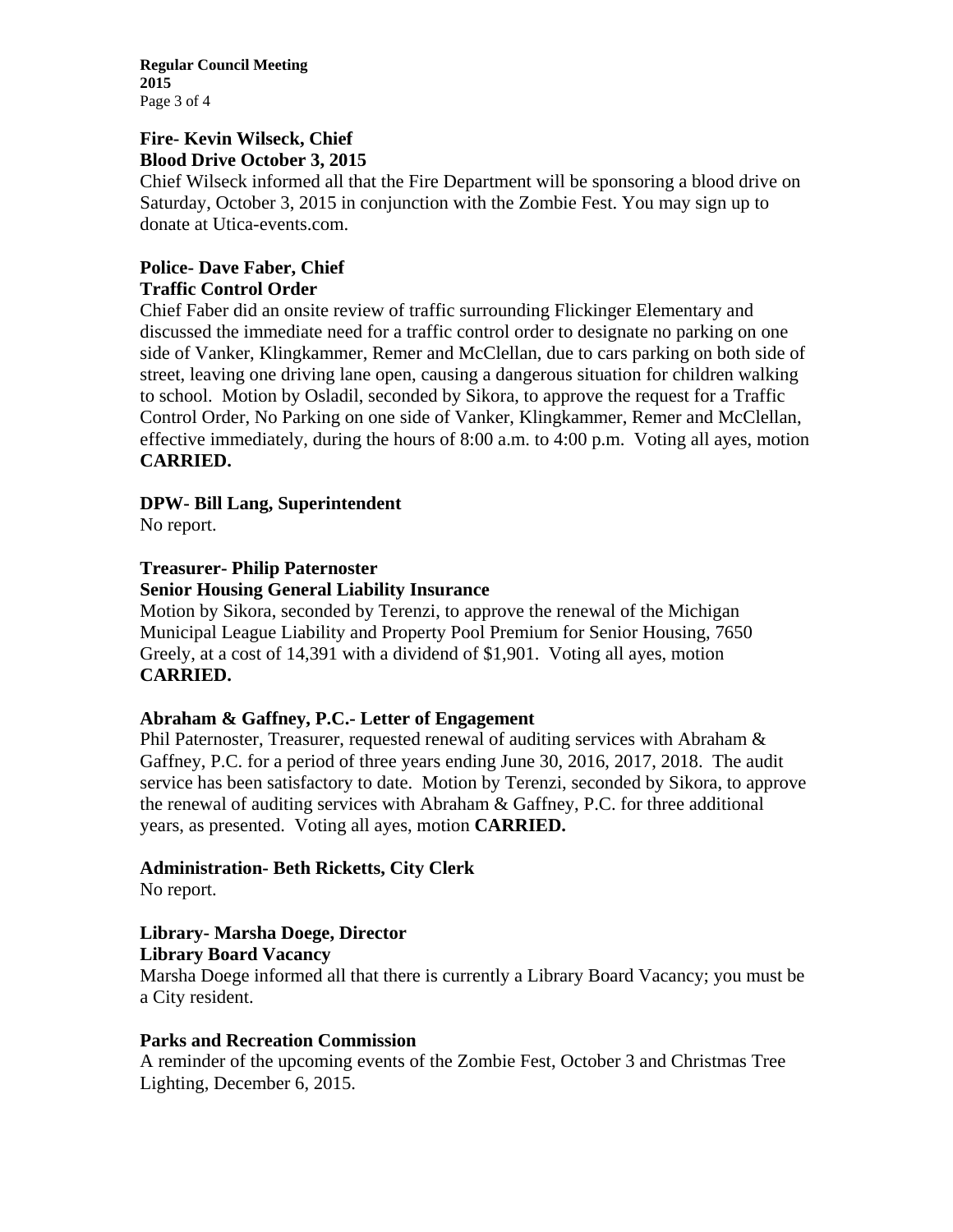**Regular Council Meeting 2015**  Page 3 of 4

### **Fire- Kevin Wilseck, Chief Blood Drive October 3, 2015**

Chief Wilseck informed all that the Fire Department will be sponsoring a blood drive on Saturday, October 3, 2015 in conjunction with the Zombie Fest. You may sign up to donate at Utica-events.com.

# **Police- Dave Faber, Chief Traffic Control Order**

Chief Faber did an onsite review of traffic surrounding Flickinger Elementary and discussed the immediate need for a traffic control order to designate no parking on one side of Vanker, Klingkammer, Remer and McClellan, due to cars parking on both side of street, leaving one driving lane open, causing a dangerous situation for children walking to school. Motion by Osladil, seconded by Sikora, to approve the request for a Traffic Control Order, No Parking on one side of Vanker, Klingkammer, Remer and McClellan, effective immediately, during the hours of 8:00 a.m. to 4:00 p.m. Voting all ayes, motion **CARRIED.** 

# **DPW- Bill Lang, Superintendent**

No report.

# **Treasurer- Philip Paternoster**

## **Senior Housing General Liability Insurance**

Motion by Sikora, seconded by Terenzi, to approve the renewal of the Michigan Municipal League Liability and Property Pool Premium for Senior Housing, 7650 Greely, at a cost of 14,391 with a dividend of \$1,901. Voting all ayes, motion **CARRIED.** 

# **Abraham & Gaffney, P.C.- Letter of Engagement**

Phil Paternoster, Treasurer, requested renewal of auditing services with Abraham & Gaffney, P.C. for a period of three years ending June 30, 2016, 2017, 2018. The audit service has been satisfactory to date. Motion by Terenzi, seconded by Sikora, to approve the renewal of auditing services with Abraham & Gaffney, P.C. for three additional years, as presented. Voting all ayes, motion **CARRIED.**

# **Administration- Beth Ricketts, City Clerk**

No report.

# **Library- Marsha Doege, Director Library Board Vacancy**

Marsha Doege informed all that there is currently a Library Board Vacancy; you must be a City resident.

# **Parks and Recreation Commission**

A reminder of the upcoming events of the Zombie Fest, October 3 and Christmas Tree Lighting, December 6, 2015.